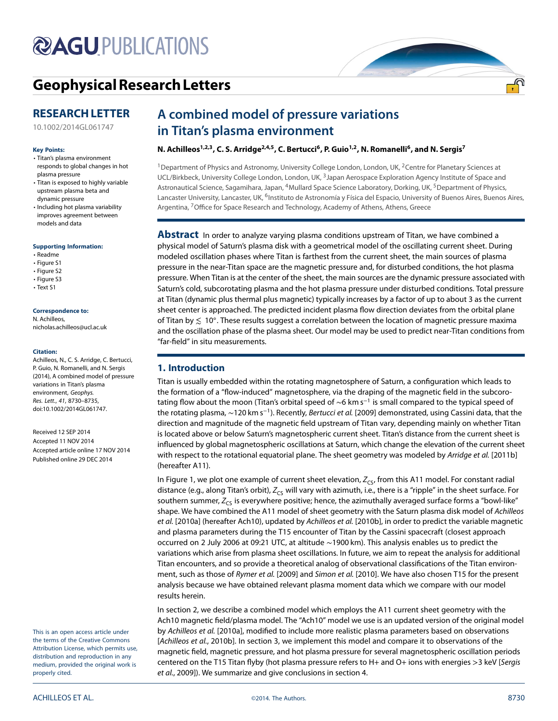# **@AGUPUBLICATIONS**

# **[GeophysicalResearch Letters](http://onlinelibrary.wiley.com/journal/10.1002/(ISSN)1944-8007)**

# **RESEARCH LETTER**

[10.1002/2014GL061747](http://dx.doi.org/10.1002/2014GL061747)

#### **Key Points:**

- Titan's plasma environment responds to global changes in hot plasma pressure
- Titan is exposed to highly variable upstream plasma beta and dynamic pressure
- Including hot plasma variability improves agreement between models and data

#### **Supporting Information:**

- Readme
- Figure S1
- Figure S2 • Figure S3
- Text S1
- 

#### **Correspondence to:**

N. Achilleos, nicholas.achilleos@ucl.ac.uk

#### **Citation:**

Achilleos, N., C. S. Arridge, C. Bertucci, P. Guio, N. Romanelli, and N. Sergis (2014), A combined model of pressure variations in Titan's plasma environment, Geophys. Res. Lett., 41, 8730–8735, doi:10.1002/2014GL061747.

Received 12 SEP 2014 Accepted 11 NOV 2014 Accepted article online 17 NOV 2014 Published online 29 DEC 2014

This is an open access article under the terms [of the](http://creativecommons.org/licenses/by/4.0/) Creative Commons Attribution License, which permits use, distribution and reproduction in any medium, provided the original work is properly cited.

# **A combined model of pressure variations in Titan's plasma environment**

# N. Achilleos<sup>1,2,3</sup>, C. S. Arridge<sup>2,4,5</sup>, C. Bertucci<sup>6</sup>, P. Guio<sup>1,2</sup>, N. Romanelli<sup>6</sup>, and N. Sergis<sup>7</sup>

<sup>1</sup> Department of Physics and Astronomy, University College London, London, UK, <sup>2</sup> Centre for Planetary Sciences at UCL/Birkbeck, University College London, London, UK, <sup>3</sup> Japan Aerospace Exploration Agency Institute of Space and Astronautical Science, Sagamihara, Japan, <sup>4</sup>Mullard Space Science Laboratory, Dorking, UK, <sup>5</sup>Department of Physics, Lancaster University, Lancaster, UK, <sup>6</sup>Instituto de Astronomía y Física del Espacio, University of Buenos Aires, Buenos Aires, Argentina, <sup>7</sup> Office for Space Research and Technology, Academy of Athens, Athens, Greece

**Abstract** In order to analyze varying plasma conditions upstream of Titan, we have combined a physical model of Saturn's plasma disk with a geometrical model of the oscillating current sheet. During modeled oscillation phases where Titan is farthest from the current sheet, the main sources of plasma pressure in the near-Titan space are the magnetic pressure and, for disturbed conditions, the hot plasma pressure. When Titan is at the center of the sheet, the main sources are the dynamic pressure associated with Saturn's cold, subcorotating plasma and the hot plasma pressure under disturbed conditions. Total pressure at Titan (dynamic plus thermal plus magnetic) typically increases by a factor of up to about 3 as the current sheet center is approached. The predicted incident plasma flow direction deviates from the orbital plane of Titan by *≲* 10◦. These results suggest a correlation between the location of magnetic pressure maxima and the oscillation phase of the plasma sheet. Our model may be used to predict near-Titan conditions from "far-field" in situ measurements.

# **1. Introduction**

Titan is usually embedded within the rotating magnetosphere of Saturn, a configuration which leads to the formation of a "flow-induced" magnetosphere, via the draping of the magnetic field in the subcorotating flow about the moon (Titan's orbital speed of ∼6 km s<sup>−</sup><sup>1</sup> is small compared to the typical speed of the rotating plasma, ∼120 km s<sup>−</sup>1). Recently, Bertucci et al. [2009] demonstrated, using Cassini data, that the direction and magnitude of the magnetic field upstream of Titan vary, depending mainly on whether Titan is located above or below Saturn's magnetospheric current sheet. Titan's distance from the current sheet is influenced by global magnetospheric oscillations at Saturn, which change the elevation of the current sheet with respect to the rotational equatorial plane. The sheet geometry was modeled by Arridge et al. [2011b] (hereafter A11).

In Figure [1,](#page-1-0) we plot one example of current sheet elevation,  $Z_{\text{CS}}$ , from this A11 model. For constant radial distance (e.g., along Titan's orbit),  $Z_{CS}$  will vary with azimuth, i.e., there is a "ripple" in the sheet surface. For southern summer,  $Z_{CS}$  is everywhere positive; hence, the azimuthally averaged surface forms a "bowl-like" shape. We have combined the A11 model of sheet geometry with the Saturn plasma disk model of Achilleos et al. [2010a] (hereafter Ach10), updated by Achilleos et al. [2010b], in order to predict the variable magnetic and plasma parameters during the T15 encounter of Titan by the Cassini spacecraft (closest approach occurred on 2 July 2006 at 09:21 UTC, at altitude ∼1900 km). This analysis enables us to predict the variations which arise from plasma sheet oscillations. In future, we aim to repeat the analysis for additional Titan encounters, and so provide a theoretical analog of observational classifications of the Titan environment, such as those of Rymer et al. [2009] and Simon et al. [2010]. We have also chosen T15 for the present analysis because we have obtained relevant plasma moment data which we compare with our model results herein.

In section [2,](#page-1-1) we describe a combined model which employs the A11 current sheet geometry with the Ach10 magnetic field/plasma model. The "Ach10" model we use is an updated version of the original model by Achilleos et al. [2010a], modified to include more realistic plasma parameters based on observations [Achilleos et al., 2010b]. In section [3,](#page-2-0) we implement this model and compare it to observations of the magnetic field, magnetic pressure, and hot plasma pressure for several magnetospheric oscillation periods centered on the T15 Titan flyby (hot plasma pressure refers to H+ and O+ ions with energies *>*3 keV [Sergis et al., 2009]). We summarize and give conclusions in section [4.](#page-4-0)

<u>എ</u>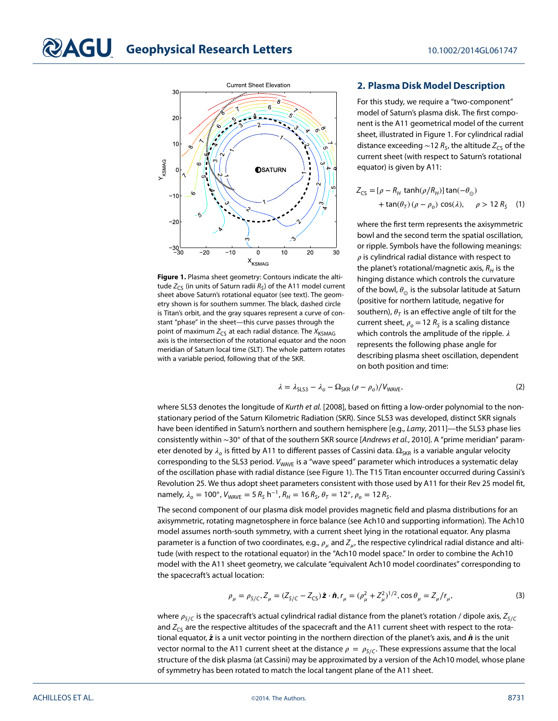<span id="page-1-1"></span>

<span id="page-1-0"></span>**Figure 1.** Plasma sheet geometry: Contours indicate the altitude  $Z_{\text{CS}}$  (in units of Saturn radii  $R_{\text{S}}$ ) of the A11 model current sheet above Saturn's rotational equator (see text). The geometry shown is for southern summer. The black, dashed circle is Titan's orbit, and the gray squares represent a curve of constant "phase" in the sheet—this curve passes through the point of maximum  $Z_{CS}$  at each radial distance. The  $X_{\text{KSMAG}}$ axis is the intersection of the rotational equator and the noon meridian of Saturn local time (SLT). The whole pattern rotates with a variable period, following that of the SKR.

# **2. Plasma Disk Model Description**

For this study, we require a "two-component" model of Saturn's plasma disk. The first component is the A11 geometrical model of the current sheet, illustrated in Figure [1.](#page-1-0) For cylindrical radial distance exceeding ~12  $R<sub>S</sub>$ , the altitude  $Z<sub>CS</sub>$  of the current sheet (with respect to Saturn's rotational equator) is given by A11:

<span id="page-1-3"></span>
$$
Z_{CS} = [\rho - R_H \tanh(\rho/R_H)] \tan(-\theta_{\odot})
$$
  
+ 
$$
\tan(\theta_T) (\rho - \rho_o) \cos(\lambda), \quad \rho > 12 R_S \quad (1)
$$

where the first term represents the axisymmetric bowl and the second term the spatial oscillation, or ripple. Symbols have the following meanings:  $\rho$  is cylindrical radial distance with respect to the planet's rotational/magnetic axis,  $R_H$  is the hinging distance which controls the curvature of the bowl, *⊙* is the subsolar latitude at Saturn (positive for northern latitude, negative for southern),  $\theta_{\tau}$  is an effective angle of tilt for the current sheet,  $\rho_o = 12 R_S$  is a scaling distance which controls the amplitude of the ripple.  $\lambda$ represents the following phase angle for describing plasma sheet oscillation, dependent on both position and time:

$$
\lambda = \lambda_{\text{SLS3}} - \lambda_o - \Omega_{\text{SKR}} \left( \rho - \rho_o \right) / V_{\text{WAVE}}, \tag{2}
$$

where SLS3 denotes the longitude of Kurth et al. [2008], based on fitting a low-order polynomial to the nonstationary period of the Saturn Kilometric Radiation (SKR). Since SLS3 was developed, distinct SKR signals have been identified in Saturn's northern and southern hemisphere [e.g., Lamy, 2011]-the SLS3 phase lies consistently within ∼30◦ of that of the southern SKR source [Andrews et al., 2010]. A "prime meridian" parameter denoted by  $\lambda_o$  is fitted by A11 to different passes of Cassini data.  $\Omega_{SKR}$  is a variable angular velocity corresponding to the SLS3 period. V<sub>WAVE</sub> is a "wave speed" parameter which introduces a systematic delay of the oscillation phase with radial distance (see Figure [1\)](#page-1-0). The T15 Titan encounter occurred during Cassini's Revolution 25. We thus adopt sheet parameters consistent with those used by A11 for their Rev 25 model fit, namely,  $\lambda_o = 100^\circ$ ,  $V_{\text{WAVE}} = 5 R_S h^{-1}$ ,  $R_H = 16 R_S$ ,  $\theta_T = 12^\circ$ ,  $\rho_o = 12 R_S$ .

The second component of our plasma disk model provides magnetic field and plasma distributions for an axisymmetric, rotating magnetosphere in force balance (see Ach10 and supporting information). The Ach10 model assumes north-south symmetry, with a current sheet lying in the rotational equator. Any plasma parameter is a function of two coordinates, e.g.,  $\rho_\mu$  and  $Z_\mu$ , the respective cylindrical radial distance and altitude (with respect to the rotational equator) in the "Ach10 model space." In order to combine the Ach10 model with the A11 sheet geometry, we calculate "equivalent Ach10 model coordinates" corresponding to the spacecraft's actual location:

<span id="page-1-2"></span>
$$
\rho_{\mu} = \rho_{S/C}, Z_{\mu} = (Z_{S/C} - Z_{CS})\hat{\mathbf{z}} \cdot \hat{\mathbf{n}}, r_{\mu} = (\rho_{\mu}^2 + Z_{\mu}^2)^{1/2}, \cos \theta_{\mu} = Z_{\mu}/r_{\mu},
$$
\n(3)

where  $\rho_{S/C}$  is the spacecraft's actual cylindrical radial distance from the planet's rotation / dipole axis,  $Z_{S/C}$ and  $Z_{\text{c}}$  are the respective altitudes of the spacecraft and the A11 current sheet with respect to the rotational equator,  $\hat{z}$  is a unit vector pointing in the northern direction of the planet's axis, and  $\hat{n}$  is the unit vector normal to the A11 current sheet at the distance  $\rho = \rho_{S/C}$ . These expressions assume that the local structure of the disk plasma (at Cassini) may be approximated by a version of the Ach10 model, whose plane of symmetry has been rotated to match the local tangent plane of the A11 sheet.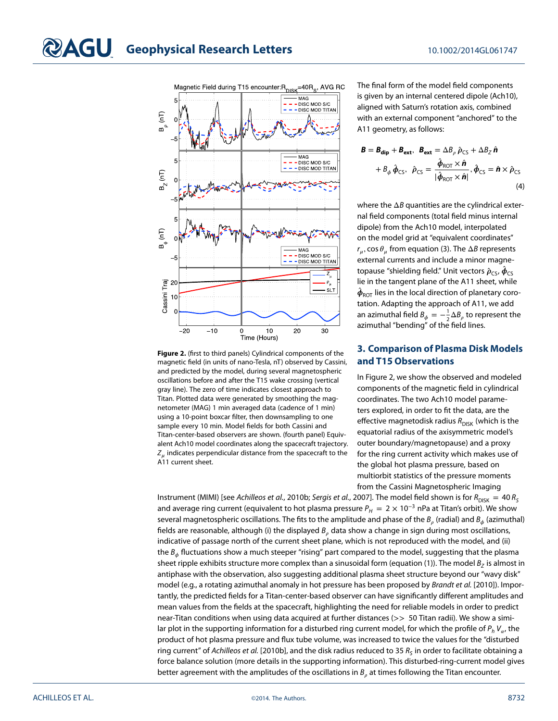

<span id="page-2-1"></span><span id="page-2-0"></span>**Figure 2.** (first to third panels) Cylindrical components of the magnetic field (in units of nano-Tesla, nT) observed by Cassini, and predicted by the model, during several magnetospheric oscillations before and after the T15 wake crossing (vertical gray line). The zero of time indicates closest approach to Titan. Plotted data were generated by smoothing the magnetometer (MAG) 1 min averaged data (cadence of 1 min) using a 10-point boxcar filter, then downsampling to one sample every 10 min. Model fields for both Cassini and Titan-center-based observers are shown. (fourth panel) Equivalent Ach10 model coordinates along the spacecraft trajectory.  $Z_{\mu}$  indicates perpendicular distance from the spacecraft to the A11 current sheet.

The final form of the model field components is given by an internal centered dipole (Ach10), aligned with Saturn's rotation axis, combined with an external component "anchored" to the A11 geometry, as follows:

$$
\mathbf{B} = \mathbf{B}_{\mathbf{dip}} + \mathbf{B}_{\mathbf{ext}}, \ \mathbf{B}_{\mathbf{ext}} = \Delta B_{\rho} \hat{\rho}_{\mathsf{CS}} + \Delta B_{Z} \hat{\mathbf{n}} \n+ B_{\phi} \hat{\phi}_{\mathsf{CS}}, \ \hat{\rho}_{\mathsf{CS}} = \frac{\hat{\phi}_{\mathsf{ROT}} \times \hat{\mathbf{n}}}{|\hat{\phi}_{\mathsf{ROT}} \times \hat{\mathbf{n}}|}, \hat{\phi}_{\mathsf{CS}} = \hat{\mathbf{n}} \times \hat{\rho}_{\mathsf{CS}} \tag{4}
$$

where the  $\Delta B$  quantities are the cylindrical external field components (total field minus internal dipole) from the Ach10 model, interpolated on the model grid at "equivalent coordinates"  $r_u$ , cos  $\theta_u$  from equation [\(3\)](#page-1-2). The  $\Delta B$  represents external currents and include a minor magnetopause "shielding field." Unit vectors  $\hat{\rho}_{\text{CS}}$ ,  $\hat{\phi}_{\text{CS}}$ lie in the tangent plane of the A11 sheet, while  $\hat{\phi}_{\text{ROT}}$  lies in the local direction of planetary corotation. Adapting the approach of A11, we add an azimuthal field  $\emph{B}_{\phi}=-\frac{1}{2}\Delta\emph{B}_{\rho}$  to represent the azimuthal "bending" of the field lines.

# **3. Comparison of Plasma Disk Models and T15 Observations**

In Figure [2,](#page-2-1) we show the observed and modeled components of the magnetic field in cylindrical coordinates. The two Ach10 model parameters explored, in order to fit the data, are the effective magnetodisk radius  $R_{\text{DISK}}$  (which is the equatorial radius of the axisymmetric model's outer boundary/magnetopause) and a proxy for the ring current activity which makes use of the global hot plasma pressure, based on multiorbit statistics of the pressure moments from the Cassini Magnetospheric Imaging

Instrument (MIMI) [see Achilleos et al., 2010b; Sergis et al., 2007]. The model field shown is for  $R_{\text{DISK}} = 40 R_S$ and average ring current (equivalent to hot plasma pressure  $P_H = 2 \times 10^{-3}$  nPa at Titan's orbit). We show several magnetospheric oscillations. The fits to the amplitude and phase of the  $B_\rho$  (radial) and  $B_\phi$  (azimuthal) fields are reasonable, although (i) the displayed  $B_a$  data show a change in sign during most oscillations, indicative of passage north of the current sheet plane, which is not reproduced with the model, and (ii) the  $B_{ab}$  fluctuations show a much steeper "rising" part compared to the model, suggesting that the plasma sheet ripple exhibits structure more complex than a sinusoidal form (equation [\(1\)](#page-1-3)). The model  $B<sub>z</sub>$  is almost in antiphase with the observation, also suggesting additional plasma sheet structure beyond our "wavy disk" model (e.g., a rotating azimuthal anomaly in hot pressure has been proposed by Brandt et al. [2010]). Importantly, the predicted fields for a Titan-center-based observer can have significantly different amplitudes and mean values from the fields at the spacecraft, highlighting the need for reliable models in order to predict near-Titan conditions when using data acquired at further distances (*>>* 50 Titan radii). We show a similar plot in the supporting information for a disturbed ring current model, for which the profile of  $P_h V_{\alpha}$ , the product of hot plasma pressure and flux tube volume, was increased to twice the values for the "disturbed ring current" of Achilleos et al. [2010b], and the disk radius reduced to 35  $R_s$  in order to facilitate obtaining a force balance solution (more details in the supporting information). This disturbed-ring-current model gives better agreement with the amplitudes of the oscillations in  $B_{\rho}$  at times following the Titan encounter.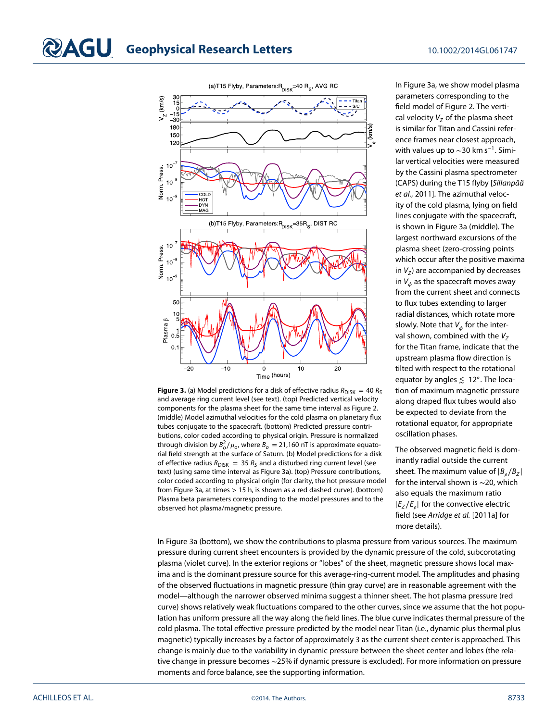

<span id="page-3-0"></span>**Figure 3.** (a) Model predictions for a disk of effective radius  $R_{\text{DISK}} = 40 R_{\text{S}}$ and average ring current level (see text). (top) Predicted vertical velocity components for the plasma sheet for the same time interval as Figure [2.](#page-2-1) (middle) Model azimuthal velocities for the cold plasma on planetary flux tubes conjugate to the spacecraft. (bottom) Predicted pressure contributions, color coded according to physical origin. Pressure is normalized through division by  $B_o^2/\mu_o$ , where  $B_o = 21,160$  nT is approximate equatorial field strength at the surface of Saturn. (b) Model predictions for a disk of effective radius  $R_{\text{DISK}} = 35 R_S$  and a disturbed ring current level (see text) (using same time interval as Figure 3a). (top) Pressure contributions, color coded according to physical origin (for clarity, the hot pressure model from Figure 3a, at times *>* 15 h, is shown as a red dashed curve). (bottom) Plasma beta parameters corresponding to the model pressures and to the observed hot plasma/magnetic pressure.

In Figure [3a](#page-3-0), we show model plasma parameters corresponding to the field model of Figure [2.](#page-2-1) The vertical velocity  $V<sub>z</sub>$  of the plasma sheet is similar for Titan and Cassini reference frames near closest approach, with values up to  $\sim$ 30 km s<sup>-1</sup>. Similar vertical velocities were measured by the Cassini plasma spectrometer (CAPS) during the T15 flyby [Sillanpää et al., 2011]. The azimuthal velocity of the cold plasma, lying on field lines conjugate with the spacecraft, is shown in Figure [3a](#page-3-0) (middle). The largest northward excursions of the plasma sheet (zero-crossing points which occur after the positive maxima in  $V_z$ ) are accompanied by decreases in  $V_{\phi}$  as the spacecraft moves away from the current sheet and connects to flux tubes extending to larger radial distances, which rotate more slowly. Note that  $V_{\phi}$  for the interval shown, combined with the  $V_z$ for the Titan frame, indicate that the upstream plasma flow direction is tilted with respect to the rotational equator by angles *≲* 12◦. The location of maximum magnetic pressure along draped flux tubes would also be expected to deviate from the rotational equator, for appropriate oscillation phases.

The observed magnetic field is dominantly radial outside the current sheet. The maximum value of  $|B_a/B_z|$ for the interval shown is ∼20, which also equals the maximum ratio  $|E_z/E_a|$  for the convective electric field (see Arridge et al. [2011a] for more details).

In Figure [3a](#page-3-0) (bottom), we show the contributions to plasma pressure from various sources. The maximum pressure during current sheet encounters is provided by the dynamic pressure of the cold, subcorotating plasma (violet curve). In the exterior regions or "lobes" of the sheet, magnetic pressure shows local maxima and is the dominant pressure source for this average-ring-current model. The amplitudes and phasing of the observed fluctuations in magnetic pressure (thin gray curve) are in reasonable agreement with the model—although the narrower observed minima suggest a thinner sheet. The hot plasma pressure (red curve) shows relatively weak fluctuations compared to the other curves, since we assume that the hot population has uniform pressure all the way along the field lines. The blue curve indicates thermal pressure of the cold plasma. The total effective pressure predicted by the model near Titan (i.e., dynamic plus thermal plus magnetic) typically increases by a factor of approximately 3 as the current sheet center is approached. This change is mainly due to the variability in dynamic pressure between the sheet center and lobes (the relative change in pressure becomes ∼25% if dynamic pressure is excluded). For more information on pressure moments and force balance, see the supporting information.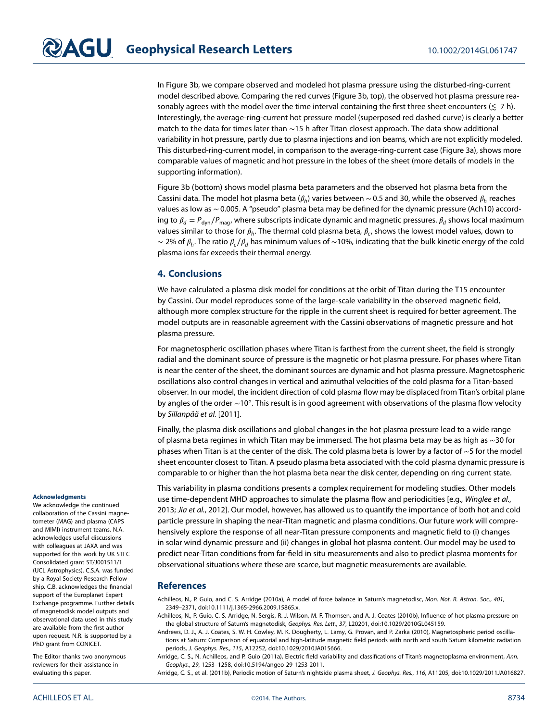In Figure [3b](#page-3-0), we compare observed and modeled hot plasma pressure using the disturbed-ring-current model described above. Comparing the red curves (Figure [3b](#page-3-0), top), the observed hot plasma pressure reasonably agrees with the model over the time interval containing the first three sheet encounters (*≲* 7 h). Interestingly, the average-ring-current hot pressure model (superposed red dashed curve) is clearly a better match to the data for times later than ∼15 h after Titan closest approach. The data show additional variability in hot pressure, partly due to plasma injections and ion beams, which are not explicitly modeled. This disturbed-ring-current model, in comparison to the average-ring-current case (Figure [3a](#page-3-0)), shows more comparable values of magnetic and hot pressure in the lobes of the sheet (more details of models in the supporting information).

Figure [3b](#page-3-0) (bottom) shows model plasma beta parameters and the observed hot plasma beta from the Cassini data. The model hot plasma beta ( $\beta_h$ ) varies between ~0.5 and 30, while the observed  $\beta_h$  reaches values as low as ∼0.005. A "pseudo" plasma beta may be defined for the dynamic pressure (Ach10) according to  $\beta_d = P_{dyn}/P_{mag}$ , where subscripts indicate dynamic and magnetic pressures.  $\beta_d$  shows local maximum values similar to those for  $\beta_h$ . The thermal cold plasma beta,  $\beta_c$ , shows the lowest model values, down to ∼ 2% of  $\beta_h$ . The ratio  $\beta_c/\beta_d$  has minimum values of ~10%, indicating that the bulk kinetic energy of the cold plasma ions far exceeds their thermal energy.

## <span id="page-4-0"></span>**4. Conclusions**

We have calculated a plasma disk model for conditions at the orbit of Titan during the T15 encounter by Cassini. Our model reproduces some of the large-scale variability in the observed magnetic field, although more complex structure for the ripple in the current sheet is required for better agreement. The model outputs are in reasonable agreement with the Cassini observations of magnetic pressure and hot plasma pressure.

For magnetospheric oscillation phases where Titan is farthest from the current sheet, the field is strongly radial and the dominant source of pressure is the magnetic or hot plasma pressure. For phases where Titan is near the center of the sheet, the dominant sources are dynamic and hot plasma pressure. Magnetospheric oscillations also control changes in vertical and azimuthal velocities of the cold plasma for a Titan-based observer. In our model, the incident direction of cold plasma flow may be displaced from Titan's orbital plane by angles of the order ∼10◦. This result is in good agreement with observations of the plasma flow velocity by Sillanpää et al. [2011].

Finally, the plasma disk oscillations and global changes in the hot plasma pressure lead to a wide range of plasma beta regimes in which Titan may be immersed. The hot plasma beta may be as high as ∼30 for phases when Titan is at the center of the disk. The cold plasma beta is lower by a factor of ∼5 for the model sheet encounter closest to Titan. A pseudo plasma beta associated with the cold plasma dynamic pressure is comparable to or higher than the hot plasma beta near the disk center, depending on ring current state.

This variability in plasma conditions presents a complex requirement for modeling studies. Other models use time-dependent MHD approaches to simulate the plasma flow and periodicities [e.g., Winglee et al., 2013; Jia et al., 2012]. Our model, however, has allowed us to quantify the importance of both hot and cold particle pressure in shaping the near-Titan magnetic and plasma conditions. Our future work will comprehensively explore the response of all near-Titan pressure components and magnetic field to (i) changes in solar wind dynamic pressure and (ii) changes in global hot plasma content. Our model may be used to predict near-Titan conditions from far-field in situ measurements and also to predict plasma moments for observational situations where these are scarce, but magnetic measurements are available.

## **References**

Achilleos, N., P. Guio, and C. S. Arridge (2010a), A model of force balance in Saturn's magnetodisc, Mon. Not. R. Astron. Soc., 401, 2349–2371, doi[:10.1111/j.1365-2966.2009.15865.x.](http://dx.doi.org/10.1111/j.1365-2966.2009.15865.x)

- Achilleos, N., P. Guio, C. S. Arridge, N. Sergis, R. J. Wilson, M. F. Thomsen, and A. J. Coates (2010b), Influence of hot plasma pressure on the global structure of Saturn's magnetodisk, Geophys. Res. Lett., 37, L20201, doi[:10.1029/2010GL045159.](http://dx.doi.org/10.1029/2010GL045159)
- Andrews, D. J., A. J. Coates, S. W. H. Cowley, M. K. Dougherty, L. Lamy, G. Provan, and P. Zarka (2010), Magnetospheric period oscillations at Saturn: Comparison of equatorial and high-latitude magnetic field periods with north and south Saturn kilometric radiation periods, J. Geophys. Res., 115, A12252, doi[:10.1029/2010JA015666.](http://dx.doi.org/10.1029/2010JA015666)

Arridge, C. S., N. Achilleos, and P. Guio (2011a), Electric field variability and classifications of Titan's magnetoplasma environment, Ann. Geophys., 29, 1253–1258, doi[:10.5194/angeo-29-1253-2011.](http://dx.doi.org/10.5194/angeo-29-1253-2011)

Arridge, C. S., et al. (2011b), Periodic motion of Saturn's nightside plasma sheet, J. Geophys. Res., 116, A11205, do[i:10.1029/2011JA016827.](http://dx.doi.org/10.1029/2011JA016827)

## **Acknowledgments**

We acknowledge the continued collaboration of the Cassini magnetometer (MAG) and plasma (CAPS and MIMI) instrument teams. N.A. acknowledges useful discussions with colleagues at JAXA and was supported for this work by UK STFC Consolidated grant ST/J001511/1 (UCL Astrophysics). C.S.A. was funded by a Royal Society Research Fellowship. C.B. acknowledges the financial support of the Europlanet Expert Exchange programme. Further details of magnetodisk model outputs and observational data used in this study are available from the first author upon request. N.R. is supported by a PhD grant from CONICET.

The Editor thanks two anonymous reviewers for their assistance in evaluating this paper.